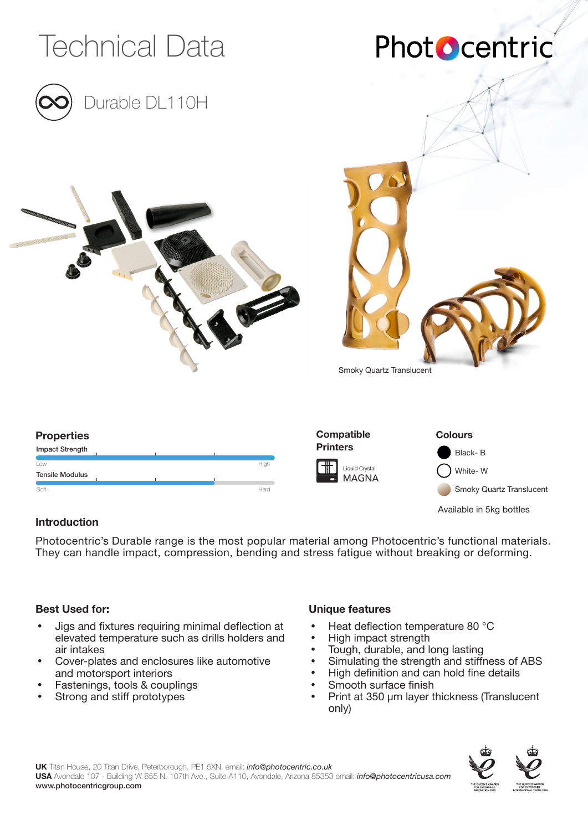

### Photocentric's Durable range is the most popular material among Photocentric's functional materials. They can handle impact, compression, bending and stress fatigue without breaking or deforming.

### **Best Used for:**

- Jigs and fixtures requiring minimal deflection at elevated temperature such as drills holders and air intakes
- Cover-plates and enclosures like automotive and motorsport interiors
- Fastenings, tools & couplings
- Strong and stiff prototypes

### **Unique features**

- Heat deflection temperature 80 °C
- High impact strength
- Tough, durable, and long lasting
- Simulating the strength and stiffness of ABS
- High definition and can hold fine details
- Smooth surface finish
- Print at 350 µm layer thickness (Translucent only)